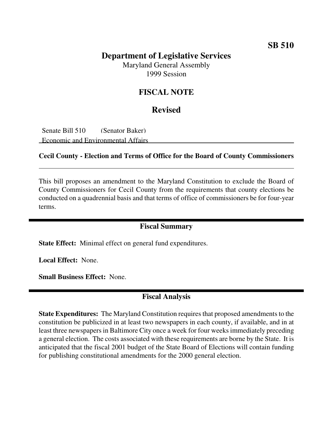### **SB 510**

# **Department of Legislative Services**

Maryland General Assembly 1999 Session

### **FISCAL NOTE**

### **Revised**

Senate Bill 510 (Senator Baker) Economic and Environmental Affairs

#### **Cecil County - Election and Terms of Office for the Board of County Commissioners**

This bill proposes an amendment to the Maryland Constitution to exclude the Board of County Commissioners for Cecil County from the requirements that county elections be conducted on a quadrennial basis and that terms of office of commissioners be for four-year terms.

### **Fiscal Summary**

**State Effect:** Minimal effect on general fund expenditures.

**Local Effect:** None.

**Small Business Effect:** None.

# **Fiscal Analysis**

**State Expenditures:** The Maryland Constitution requires that proposed amendments to the constitution be publicized in at least two newspapers in each county, if available, and in at least three newspapers in Baltimore City once a week for four weeks immediately preceding a general election. The costs associated with these requirements are borne by the State. It is anticipated that the fiscal 2001 budget of the State Board of Elections will contain funding for publishing constitutional amendments for the 2000 general election.